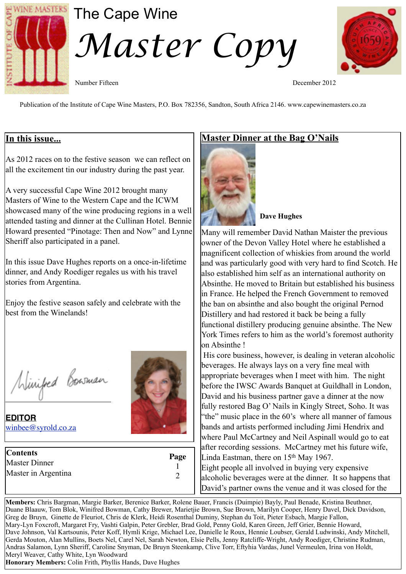

# The Cape Wine *Master Copy*



Number Fifteen December 2012

Publication of the Institute of Cape Wine Masters, P.O. Box 782356, Sandton, South Africa 2146. www.capewinemasters.co.za

## **In this issue...**

As 2012 races on to the festive season we can reflect on all the excitement tin our industry during the past year.

A very successful Cape Wine 2012 brought many Masters of Wine to the Western Cape and the ICWM showcased many of the wine producing regions in a well attended tasting and dinner at the Cullinan Hotel. Bennie Howard presented "Pinotage: Then and Now" and Lynne Sheriff also participated in a panel.

In this issue Dave Hughes reports on a once-in-lifetime dinner, and Andy Roediger regales us with his travel stories from Argentina.

Enjoy the festive season safely and celebrate with the best from the Winelands!

Winifed Bowman

**EDITOR** [winbee@syrold.co.za](mailto:winbee@syrold.co.za)

| <b>Contents</b>      | Page |
|----------------------|------|
| <b>Master Dinner</b> |      |
| Master in Argentina  |      |
|                      |      |

# **Master Dinner at the Bag O'Nails**



#### **Dave Hughes**

Many will remember David Nathan Maister the previous owner of the Devon Valley Hotel where he established a magnificent collection of whiskies from around the world and was particularly good with very hard to find Scotch. He also established him self as an international authority on Absinthe. He moved to Britain but established his business in France. He helped the French Government to removed the ban on absinthe and also bought the original Pernod Distillery and had restored it back be being a fully functional distillery producing genuine absinthe. The New York Times refers to him as the world's foremost authority on Absinthe !

 His core business, however, is dealing in veteran alcoholic beverages. He always lays on a very fine meal with appropriate beverages when I meet with him. The night before the IWSC Awards Banquet at Guildhall in London, David and his business partner gave a dinner at the now fully restored Bag O' Nails in Kingly Street, Soho. It was "the" music place in the 60's where all manner of famous bands and artists performed including Jimi Hendrix and where Paul McCartney and Neil Aspinall would go to eat after recording sessions. McCartney met his future wife, Linda Eastman, there on  $15<sup>th</sup>$  May 1967. Eight people all involved in buying very expensive alcoholic beverages were at the dinner. It so happens that David's partner owns the venue and it was closed for the

**Members:** Chris Bargman, Margie Barker, Berenice Barker, Rolene Bauer, Francis (Duimpie) Bayly, Paul Benade, Kristina Beuthner, Duane Blaauw, Tom Blok, Winifred Bowman, Cathy Brewer, Marietjie Brown, Sue Brown, Marilyn Cooper, Henry Davel, Dick Davidson, Greg de Bruyn, Ginette de Fleuriot, Chris de Klerk, Heidi Rosenthal Duminy, Stephan du Toit, Pieter Esbach, Margie Fallon, Mary-Lyn Foxcroft, Margaret Fry, Vashti Galpin, Peter Grebler, Brad Gold, Penny Gold, Karen Green, Jeff Grier, Bennie Howard, Dave Johnson, Val Kartsounis, Peter Koff, Hymli Krige, Michael Lee, Danielle le Roux, Hennie Loubser, Gerald Ludwinski, Andy Mitchell, Gerda Mouton, Alan Mullins, Boets Nel, Carel Nel, Sarah Newton, Elsie Pells, Jenny Ratcliffe-Wright, Andy Roediger, Christine Rudman, Andras Salamon, Lynn Sheriff, Caroline Snyman, De Bruyn Steenkamp, Clive Torr, Eftyhia Vardas, Junel Vermeulen, Irina von Holdt, Meryl Weaver, Cathy White, Lyn Woodward **Honorary Members:** Colin Frith, Phyllis Hands, Dave Hughes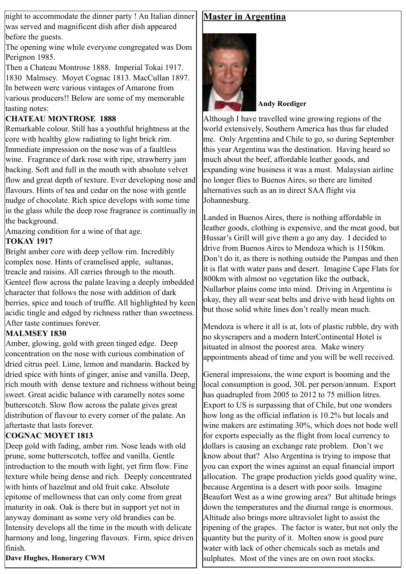night to accommodate the dinner party ! An Italian dinner was served and magnificent dish after dish appeared before the guests.

The opening wine while everyone congregated was Dom Perignon 1985.

Then a Chateau Montrose 1888. Imperial Tokai 1917. 1830 Malmsey. Moyet Cognac 1813. MacCullan 1897. In between were various vintages of Amarone from various producers!! Below are some of my memorable tasting notes:

#### **CHATEAU MONTROSE 1888**

Remarkable colour. Still has a youthful brightness at the core with healthy glow radiating to light brick rim. Immediate impression on the nose was of a faultless wine. Fragrance of dark rose with ripe, strawberry jam backing. Soft and full in the mouth with absolute velvet flow and great depth of texture. Ever developing nose and flavours. Hints of tea and cedar on the nose with gentle nudge of chocolate. Rich spice develops with some time in the glass while the deep rose fragrance is continually in the background.

Amazing condition for a wine of that age.

## **TOKAY 1917**

Bright amber core with deep yellow rim. Incredibly complex nose. Hints of cramelised apple, sultanas, treacle and raisins. All carries through to the mouth. Genteel flow across the palate leaving a deeply imbedded character that follows the nose with addition of dark berries, spice and touch of truffle. All highlighted by keen acidic tingle and edged by richness rather than sweetness. After taste continues forever.

## **MALMSEY 1830**

Amber, glowing, gold with green tinged edge. Deep concentration on the nose with curious combination of dried citrus peel. Lime, lemon and mandarin. Backed by dried spice with hints of ginger, anise and vanilla. Deep, rich mouth with dense texture and richness without being sweet. Great acidic balance with caramelly notes some butterscotch. Slow flow across the palate gives great distribution of flavour to every corner of the palate. An aftertaste that lasts forever.

## **COGNAC MOYET 1813**

Deep gold with fading, amber rim. Nose leads with old prune, some butterscotch, toffee and vanilla. Gentle introduction to the mouth with light, yet firm flow. Fine texture while being dense and rich. Deeply concentrated with hints of hazelnut and old fruit cake. Absolute epitome of mellowness that can only come from great maturity in oak. Oak is there but in support yet not in anyway dominant as some very old brandies can be. Intensity develops all the time in the mouth with delicate harmony and long, lingering flavours. Firm, spice driven finish.

**Dave Hughes, Honorary CWM**

## **Master in Argentina**



#### **Andy Roediger**

Although I have travelled wine growing regions of the world extensively, Southern America has thus far eluded me. Only Argentina and Chile to go, so during September this year Argentina was the destination. Having heard so much about the beef, affordable leather goods, and expanding wine business it was a must. Malaysian airline no longer flies to Buenos Aires, so there are limited alternatives such as an in direct SAA flight via Johannesburg.

Landed in Buenos Aires, there is nothing affordable in leather goods, clothing is expensive, and the meat good, but Hussar's Grill will give them a go any day. I decided to drive from Buenos Aires to Mendoza which is 1150km. Don't do it, as there is nothing outside the Pampas and then it is flat with water pans and desert. Imagine Cape Flats for 800km with almost no vegetation like the outback, Nullarbor plains come into mind. Driving in Argentina is okay, they all wear seat belts and drive with head lights on but those solid white lines don't really mean much.

Mendoza is where it all is at, lots of plastic rubble, dry with no skyscrapers and a modern InterContinental Hotel is situated in almost the poorest area. Make winery appointments ahead of time and you will be well received.

General impressions, the wine export is booming and the local consumption is good, 30L per person/annum. Export has quadrupled from 2005 to 2012 to 75 million litres. Export to US is surpassing that of Chile, but one wonders how long as the official inflation is 10.2% but locals and wine makers are estimating 30%, which does not bode well for exports especially as the flight from local currency to dollars is causing an exchange rate problem. Don't we know about that? Also Argentina is trying to impose that you can export the wines against an equal financial import allocation. The grape production yields good quality wine, because Argentina is a desert with poor soils. Imagine Beaufort West as a wine growing area? But altitude brings down the temperatures and the diurnal range is enormous. Altitude also brings more ultraviolet light to assist the ripening of the grapes. The factor is water, but not only the quantity but the purity of it. Molten snow is good pure water with lack of other chemicals such as metals and sulphates. Most of the vines are on own root stocks.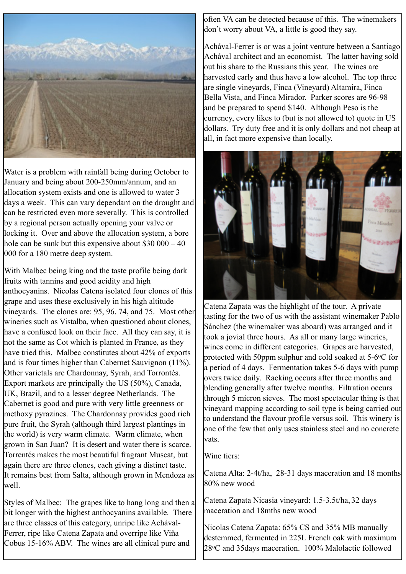

Water is a problem with rainfall being during October to January and being about 200-250mm/annum, and an allocation system exists and one is allowed to water 3 days a week. This can vary dependant on the drought and can be restricted even more severally. This is controlled by a regional person actually opening your valve or locking it. Over and above the allocation system, a bore hole can be sunk but this expensive about  $$30,000 - 40$ 000 for a 180 metre deep system.

With Malbec being king and the taste profile being dark fruits with tannins and good acidity and high anthocyanins. Nicolas Catena isolated four clones of this grape and uses these exclusively in his high altitude vineyards. The clones are: 95, 96, 74, and 75. Most other wineries such as Vistalba, when questioned about clones, have a confused look on their face. All they can say, it is not the same as Cot which is planted in France, as they have tried this. Malbec constitutes about 42% of exports and is four times higher than Cabernet Sauvignon (11%). Other varietals are Chardonnay, Syrah, and Torrontés. Export markets are principally the US (50%), Canada, UK, Brazil, and to a lesser degree Netherlands. The Cabernet is good and pure with very little greenness or methoxy pyrazines. The Chardonnay provides good rich pure fruit, the Syrah (although third largest plantings in the world) is very warm climate. Warm climate, when grown in San Juan? It is desert and water there is scarce. Torrentés makes the most beautiful fragrant Muscat, but again there are three clones, each giving a distinct taste. It remains best from Salta, although grown in Mendoza as well.

Styles of Malbec: The grapes like to hang long and then a bit longer with the highest anthocyanins available. There are three classes of this category, unripe like Achával-Ferrer, ripe like Catena Zapata and overripe like Viňa Cobus 15-16% ABV. The wines are all clinical pure and

often VA can be detected because of this. The winemakers don't worry about VA, a little is good they say.

Achával-Ferrer is or was a joint venture between a Santiago Achával architect and an economist. The latter having sold out his share to the Russians this year. The wines are harvested early and thus have a low alcohol. The top three are single vineyards, Finca (Vineyard) Altamira, Finca Bella Vista, and Finca Mirador. Parker scores are 96-98 and be prepared to spend \$140. Although Peso is the currency, every likes to (but is not allowed to) quote in US dollars. Try duty free and it is only dollars and not cheap at all, in fact more expensive than locally.



Catena Zapata was the highlight of the tour. A private tasting for the two of us with the assistant winemaker Pablo Sánchez (the winemaker was aboard) was arranged and it took a jovial three hours. As all or many large wineries, wines come in different categories. Grapes are harvested, protected with 50ppm sulphur and cold soaked at 5-6oC for a period of 4 days. Fermentation takes 5-6 days with pump overs twice daily. Racking occurs after three months and blending generally after twelve months. Filtration occurs through 5 micron sieves. The most spectacular thing is that vineyard mapping according to soil type is being carried out to understand the flavour profile versus soil. This winery is one of the few that only uses stainless steel and no concrete vats.

Wine tiers:

Catena Alta: 2-4t/ha, 28-31 days maceration and 18 months 80% new wood

Catena Zapata Nicasia vineyard: 1.5-3.5t/ha, 32 days maceration and 18mths new wood

Nicolas Catena Zapata: 65% CS and 35% MB manually destemmed, fermented in 225L French oak with maximum 28oC and 35days maceration. 100% Malolactic followed